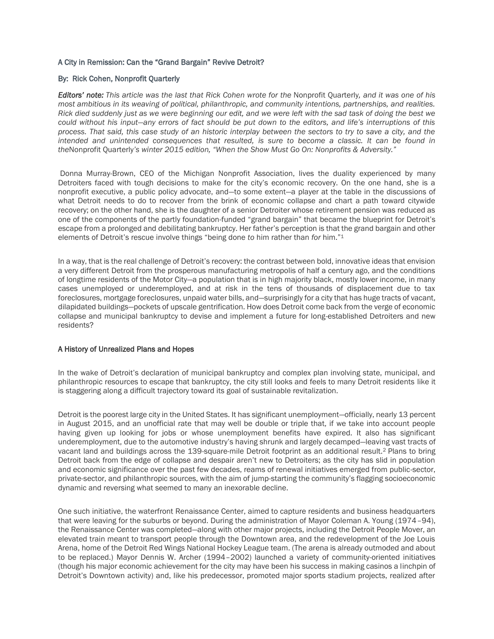# A City in Remission: Can the "Grand Bargain" Revive Detroit?

#### By: Rick Cohen, Nonprofit Quarterly

*Editors' note: This article was the last that Rick Cohen wrote for the* Nonprofit Quarterly*, and it was one of his most ambitious in its weaving of political, philanthropic, and community intentions, partnerships, and realities. Rick died suddenly just as we were beginning our edit, and we were left with the sad task of doing the best we could without his input—any errors of fact should be put down to the editors, and life's interruptions of this process. That said, this case study of an historic interplay between the sectors to try to save a city, and the intended and unintended consequences that resulted, is sure to become a classic. It can be found in the*Nonprofit Quarterly*'s winter 2015 edition, "When the Show Must Go On: Nonprofits & Adversity."*

Donna Murray-Brown, CEO of the Michigan Nonprofit Association, lives the duality experienced by many Detroiters faced with tough decisions to make for the city's economic recovery. On the one hand, she is a nonprofit executive, a public policy advocate, and—to some extent—a player at the table in the discussions of what Detroit needs to do to recover from the brink of economic collapse and chart a path toward citywide recovery; on the other hand, she is the daughter of a senior Detroiter whose retirement pension was reduced as one of the components of the partly foundation-funded "grand bargain" that became the blueprint for Detroit's escape from a prolonged and debilitating bankruptcy. Her father's perception is that the grand bargain and other elements of Detroit's rescue involve things "being done *to* him rather than *for* him."<sup>1</sup>

In a way, that is the real challenge of Detroit's recovery: the contrast between bold, innovative ideas that envision a very different Detroit from the prosperous manufacturing metropolis of half a century ago, and the conditions of longtime residents of the Motor City—a population that is in high majority black, mostly lower income, in many cases unemployed or underemployed, and at risk in the tens of thousands of displacement due to tax foreclosures, mortgage foreclosures, unpaid water bills, and—surprisingly for a city that has huge tracts of vacant, dilapidated buildings—pockets of upscale gentrification. How does Detroit come back from the verge of economic collapse and municipal bankruptcy to devise and implement a future for long-established Detroiters and new residents?

# A History of Unrealized Plans and Hopes

In the wake of Detroit's declaration of municipal bankruptcy and complex plan involving state, municipal, and philanthropic resources to escape that bankruptcy, the city still looks and feels to many Detroit residents like it is staggering along a difficult trajectory toward its goal of sustainable revitalization.

Detroit is the poorest large city in the United States. It has significant unemployment—officially, nearly 13 percent in August 2015, and an unofficial rate that may well be double or triple that, if we take into account people having given up looking for jobs or whose unemployment benefits have expired. It also has significant underemployment, due to the automotive industry's having shrunk and largely decamped—leaving vast tracts of vacant land and buildings across the 139-square-mile Detroit footprint as an additional result.<sup>2</sup> Plans to bring Detroit back from the edge of collapse and despair aren't new to Detroiters; as the city has slid in population and economic significance over the past few decades, reams of renewal initiatives emerged from public-sector, private-sector, and philanthropic sources, with the aim of jump-starting the community's flagging socioeconomic dynamic and reversing what seemed to many an inexorable decline.

One such initiative, the waterfront Renaissance Center, aimed to capture residents and business headquarters that were leaving for the suburbs or beyond. During the administration of Mayor Coleman A. Young (1974–94), the Renaissance Center was completed—along with other major projects, including the Detroit People Mover, an elevated train meant to transport people through the Downtown area, and the redevelopment of the Joe Louis Arena, home of the Detroit Red Wings National Hockey League team. (The arena is already outmoded and about to be replaced.) Mayor Dennis W. Archer (1994–2002) launched a variety of community-oriented initiatives (though his major economic achievement for the city may have been his success in making casinos a linchpin of Detroit's Downtown activity) and, like his predecessor, promoted major sports stadium projects, realized after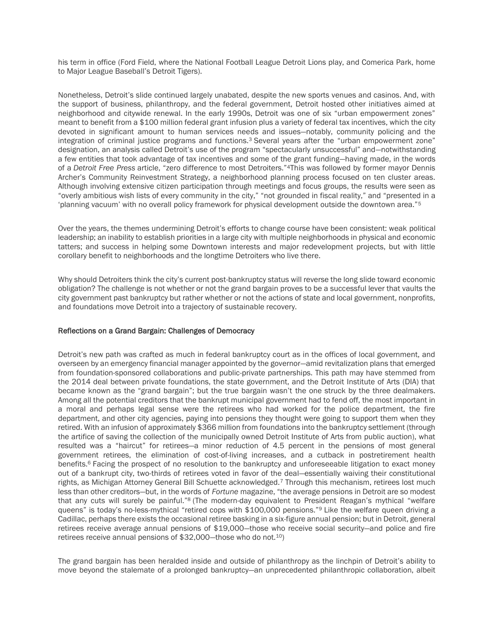his term in office (Ford Field, where the National Football League Detroit Lions play, and Comerica Park, home to Major League Baseball's Detroit Tigers).

Nonetheless, Detroit's slide continued largely unabated, despite the new sports venues and casinos. And, with the support of business, philanthropy, and the federal government, Detroit hosted other initiatives aimed at neighborhood and citywide renewal. In the early 1990s, Detroit was one of six "urban empowerment zones" meant to benefit from a \$100 million federal grant infusion plus a variety of federal tax incentives, which the city devoted in significant amount to human services needs and issues—notably, community policing and the integration of criminal justice programs and functions.<sup>3</sup> Several years after the "urban empowerment zone" designation, an analysis called Detroit's use of the program "spectacularly unsuccessful" and—notwithstanding a few entities that took advantage of tax incentives and some of the grant funding—having made, in the words of a *Detroit Free Press* article, "zero difference to most Detroiters."4This was followed by former mayor Dennis Archer's Community Reinvestment Strategy, a neighborhood planning process focused on ten cluster areas. Although involving extensive citizen participation through meetings and focus groups, the results were seen as "overly ambitious wish lists of every community in the city," "not grounded in fiscal reality," and "presented in a 'planning vacuum' with no overall policy framework for physical development outside the downtown area."<sup>5</sup>

Over the years, the themes undermining Detroit's efforts to change course have been consistent: weak political leadership; an inability to establish priorities in a large city with multiple neighborhoods in physical and economic tatters; and success in helping some Downtown interests and major redevelopment projects, but with little corollary benefit to neighborhoods and the longtime Detroiters who live there.

Why should Detroiters think the city's current post-bankruptcy status will reverse the long slide toward economic obligation? The challenge is not whether or not the grand bargain proves to be a successful lever that vaults the city government past bankruptcy but rather whether or not the actions of state and local government, nonprofits, and foundations move Detroit into a trajectory of sustainable recovery.

# Reflections on a Grand Bargain: Challenges of Democracy

Detroit's new path was crafted as much in federal bankruptcy court as in the offices of local government, and overseen by an emergency financial manager appointed by the governor—amid revitalization plans that emerged from foundation-sponsored collaborations and public-private partnerships. This path may have stemmed from the 2014 deal between private foundations, the state government, and the Detroit Institute of Arts (DIA) that became known as the "grand bargain"; but the true bargain wasn't the one struck by the three dealmakers. Among all the potential creditors that the bankrupt municipal government had to fend off, the most important in a moral and perhaps legal sense were the retirees who had worked for the police department, the fire department, and other city agencies, paying into pensions they thought were going to support them when they retired. With an infusion of approximately \$366 million from foundations into the bankruptcy settlement (through the artifice of saving the collection of the municipally owned Detroit Institute of Arts from public auction), what resulted was a "haircut" for retirees—a minor reduction of 4.5 percent in the pensions of most general government retirees, the elimination of cost-of-living increases, and a cutback in postretirement health benefits.<sup>6</sup> Facing the prospect of no resolution to the bankruptcy and unforeseeable litigation to exact money out of a bankrupt city, two-thirds of retirees voted in favor of the deal—essentially waiving their constitutional rights, as Michigan Attorney General Bill Schuette acknowledged.<sup>7</sup> Through this mechanism, retirees lost much less than other creditors—but, in the words of *Fortune* magazine, "the average pensions in Detroit are so modest that any cuts will surely be painful."<sup>8</sup> (The modern-day equivalent to President Reagan's mythical "welfare queens" is today's no-less-mythical "retired cops with \$100,000 pensions."<sup>9</sup> Like the welfare queen driving a Cadillac, perhaps there exists the occasional retiree basking in a six-figure annual pension; but in Detroit, general retirees receive average annual pensions of \$19,000—those who receive social security—and police and fire retirees receive annual pensions of \$32,000—those who do not.10)

The grand bargain has been heralded inside and outside of philanthropy as the linchpin of Detroit's ability to move beyond the stalemate of a prolonged bankruptcy—an unprecedented philanthropic collaboration, albeit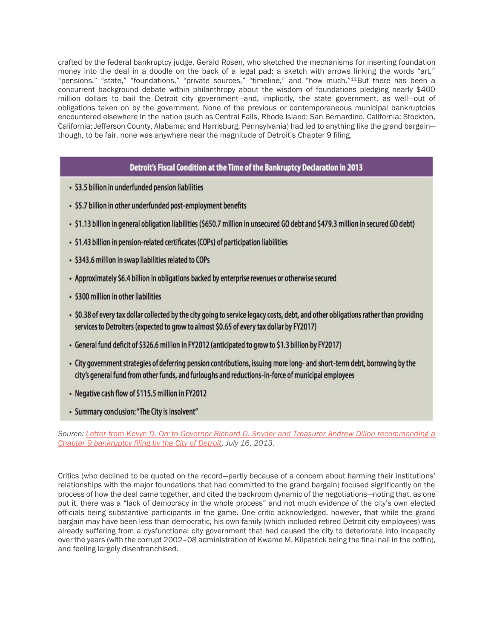crafted by the federal bankruptcy judge, Gerald Rosen, who sketched the mechanisms for inserting foundation money into the deal in a doodle on the back of a legal pad: a sketch with arrows linking the words "art," "pensions," "state," "foundations," "private sources," "timeline," and "how much."11But there has been a concurrent background debate within philanthropy about the wisdom of foundations pledging nearly \$400 million dollars to bail the Detroit city government—and, implicitly, the state government, as well—out of obligations taken on by the government. None of the previous or contemporaneous municipal bankruptcies encountered elsewhere in the nation (such as Central Falls, Rhode Island; San Bernardino, California; Stockton, California; Jefferson County, Alabama; and Harrisburg, Pennsylvania) had led to anything like the grand bargain though, to be fair, none was anywhere near the magnitude of Detroit's Chapter 9 filing.

# Detroit's Fiscal Condition at the Time of the Bankruptcy Declaration in 2013

- \$3.5 billion in underfunded pension liabilities
- \$5.7 billion in other underfunded post-employment benefits
- . \$1.13 billion in general obligation liabilities (\$650.7 million in unsecured GO debt and \$479.3 million in secured GO debt)
- \$1.43 billion in pension-related certificates (COPs) of participation liabilities
- \$343.6 million in swap liabilities related to COPs
- Approximately \$6.4 billion in obligations backed by enterprise revenues or otherwise secured
- \$300 million in other liabilities
- . \$0.38 of every tax dollar collected by the city going to service legacy costs, debt, and other obligations rather than providing services to Detroiters (expected to grow to almost \$0.65 of every tax dollar by FY2017)
- General fund deficit of \$326.6 million in FY2012 (anticipated to grow to \$1.3 billion by FY2017)
- City government strategies of deferring pension contributions, issuing more long- and short-term debt, borrowing by the city's general fund from other funds, and furloughs and reductions-in-force of municipal employees
- Negative cash flow of \$115.5 million in FY2012
- Summary conclusion: "The City is insolvent"

*Source: Letter from Kevyn [D. Orr to Governor Richard D. Snyder and Treasurer Andrew Dillon recommending a](http://www.michigan.gov/documents/snyder/Detroit_EM_Kevyn_Orr_Chapter_9_Recommendation_427831_7.pdf)  [Chapter 9 bankruptcy filing by the City of Detroit,](http://www.michigan.gov/documents/snyder/Detroit_EM_Kevyn_Orr_Chapter_9_Recommendation_427831_7.pdf) July 16, 2013.*

Critics (who declined to be quoted on the record—partly because of a concern about harming their institutions' relationships with the major foundations that had committed to the grand bargain) focused significantly on the process of how the deal came together, and cited the backroom dynamic of the negotiations—noting that, as one put it, there was a "lack of democracy in the whole process" and not much evidence of the city's own elected officials being substantive participants in the game. One critic acknowledged, however, that while the grand bargain may have been less than democratic, his own family (which included retired Detroit city employees) was already suffering from a dysfunctional city government that had caused the city to deteriorate into incapacity over the years (with the corrupt 2002–08 administration of Kwame M. Kilpatrick being the final nail in the coffin), and feeling largely disenfranchised.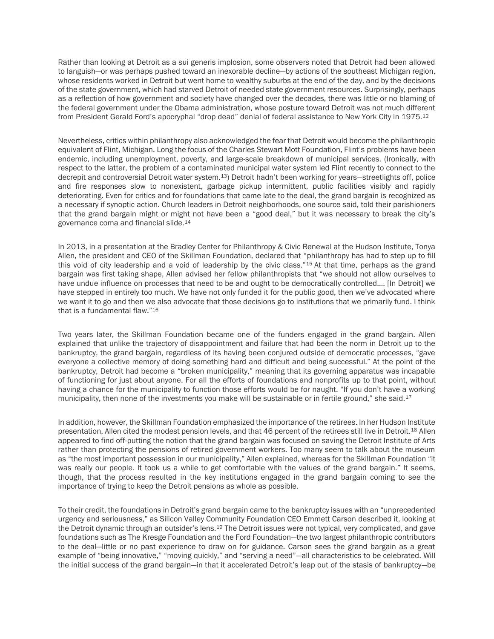Rather than looking at Detroit as a sui generis implosion, some observers noted that Detroit had been allowed to languish—or was perhaps pushed toward an inexorable decline—by actions of the southeast Michigan region, whose residents worked in Detroit but went home to wealthy suburbs at the end of the day, and by the decisions of the state government, which had starved Detroit of needed state government resources. Surprisingly, perhaps as a reflection of how government and society have changed over the decades, there was little or no blaming of the federal government under the Obama administration, whose posture toward Detroit was not much different from President Gerald Ford's apocryphal "drop dead" denial of federal assistance to New York City in 1975.<sup>12</sup>

Nevertheless, critics within philanthropy also acknowledged the fear that Detroit would become the philanthropic equivalent of Flint, Michigan. Long the focus of the Charles Stewart Mott Foundation, Flint's problems have been endemic, including unemployment, poverty, and large-scale breakdown of municipal services. (Ironically, with respect to the latter, the problem of a contaminated municipal water system led Flint recently to connect to the decrepit and controversial Detroit water system.13) Detroit hadn't been working for years—streetlights off, police and fire responses slow to nonexistent, garbage pickup intermittent, public facilities visibly and rapidly deteriorating. Even for critics and for foundations that came late to the deal, the grand bargain is recognized as a necessary if synoptic action. Church leaders in Detroit neighborhoods, one source said, told their parishioners that the grand bargain might or might not have been a "good deal," but it was necessary to break the city's governance coma and financial slide.<sup>14</sup>

In 2013, in a presentation at the Bradley Center for Philanthropy & Civic Renewal at the Hudson Institute, Tonya Allen, the president and CEO of the Skillman Foundation, declared that "philanthropy has had to step up to fill this void of city leadership and a void of leadership by the civic class."<sup>15</sup> At that time, perhaps as the grand bargain was first taking shape, Allen advised her fellow philanthropists that "we should not allow ourselves to have undue influence on processes that need to be and ought to be democratically controlled…. [In Detroit] we have stepped in entirely too much. We have not only funded it for the public good, then we've advocated where we want it to go and then we also advocate that those decisions go to institutions that we primarily fund. I think that is a fundamental flaw."<sup>16</sup>

Two years later, the Skillman Foundation became one of the funders engaged in the grand bargain. Allen explained that unlike the trajectory of disappointment and failure that had been the norm in Detroit up to the bankruptcy, the grand bargain, regardless of its having been conjured outside of democratic processes, "gave everyone a collective memory of doing something hard and difficult and being successful." At the point of the bankruptcy, Detroit had become a "broken municipality," meaning that its governing apparatus was incapable of functioning for just about anyone. For all the efforts of foundations and nonprofits up to that point, without having a chance for the municipality to function those efforts would be for naught. "If you don't have a working municipality, then none of the investments you make will be sustainable or in fertile ground," she said.<sup>17</sup>

In addition, however, the Skillman Foundation emphasized the importance of the retirees. In her Hudson Institute presentation, Allen cited the modest pension levels, and that 46 percent of the retirees still live in Detroit.<sup>18</sup> Allen appeared to find off-putting the notion that the grand bargain was focused on saving the Detroit Institute of Arts rather than protecting the pensions of retired government workers. Too many seem to talk about the museum as "the most important possession in our municipality," Allen explained, whereas for the Skillman Foundation "it was really our people. It took us a while to get comfortable with the values of the grand bargain." It seems, though, that the process resulted in the key institutions engaged in the grand bargain coming to see the importance of trying to keep the Detroit pensions as whole as possible.

To their credit, the foundations in Detroit's grand bargain came to the bankruptcy issues with an "unprecedented urgency and seriousness," as Silicon Valley Community Foundation CEO Emmett Carson described it, looking at the Detroit dynamic through an outsider's lens.<sup>19</sup> The Detroit issues were not typical, very complicated, and gave foundations such as The Kresge Foundation and the Ford Foundation—the two largest philanthropic contributors to the deal—little or no past experience to draw on for guidance. Carson sees the grand bargain as a great example of "being innovative," "moving quickly," and "serving a need"—all characteristics to be celebrated. Will the initial success of the grand bargain—in that it accelerated Detroit's leap out of the stasis of bankruptcy—be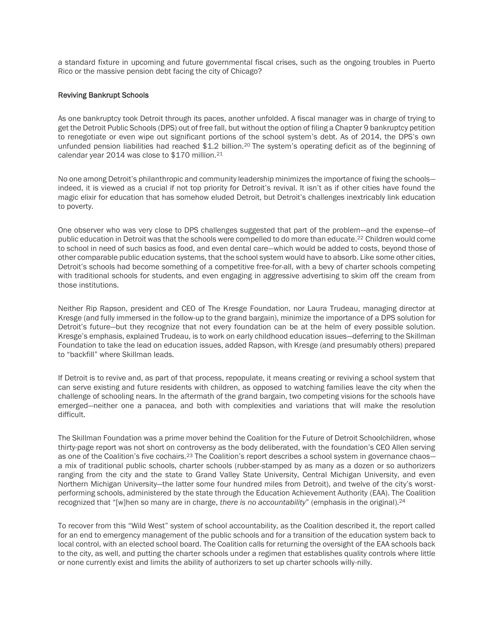a standard fixture in upcoming and future governmental fiscal crises, such as the ongoing troubles in Puerto Rico or the massive pension debt facing the city of Chicago?

## Reviving Bankrupt Schools

As one bankruptcy took Detroit through its paces, another unfolded. A fiscal manager was in charge of trying to get the Detroit Public Schools (DPS) out of free fall, but without the option of filing a Chapter 9 bankruptcy petition to renegotiate or even wipe out significant portions of the school system's debt. As of 2014, the DPS's own unfunded pension liabilities had reached \$1.2 billion.<sup>20</sup> The system's operating deficit as of the beginning of calendar year 2014 was close to \$170 million.<sup>21</sup>

No one among Detroit's philanthropic and community leadership minimizes the importance of fixing the schools indeed, it is viewed as a crucial if not top priority for Detroit's revival. It isn't as if other cities have found the magic elixir for education that has somehow eluded Detroit, but Detroit's challenges inextricably link education to poverty.

One observer who was very close to DPS challenges suggested that part of the problem—and the expense—of public education in Detroit was that the schools were compelled to do more than educate.<sup>22</sup> Children would come to school in need of such basics as food, and even dental care—which would be added to costs, beyond those of other comparable public education systems, that the school system would have to absorb. Like some other cities, Detroit's schools had become something of a competitive free-for-all, with a bevy of charter schools competing with traditional schools for students, and even engaging in aggressive advertising to skim off the cream from those institutions.

Neither Rip Rapson, president and CEO of The Kresge Foundation, nor Laura Trudeau, managing director at Kresge (and fully immersed in the follow-up to the grand bargain), minimize the importance of a DPS solution for Detroit's future—but they recognize that not every foundation can be at the helm of every possible solution. Kresge's emphasis, explained Trudeau, is to work on early childhood education issues—deferring to the Skillman Foundation to take the lead on education issues, added Rapson, with Kresge (and presumably others) prepared to "backfill" where Skillman leads.

If Detroit is to revive and, as part of that process, repopulate, it means creating or reviving a school system that can serve existing and future residents with children, as opposed to watching families leave the city when the challenge of schooling nears. In the aftermath of the grand bargain, two competing visions for the schools have emerged—neither one a panacea, and both with complexities and variations that will make the resolution difficult.

The Skillman Foundation was a prime mover behind the Coalition for the Future of Detroit Schoolchildren, whose thirty-page report was not short on controversy as the body deliberated, with the foundation's CEO Allen serving as one of the Coalition's five cochairs.<sup>23</sup> The Coalition's report describes a school system in governance chaosa mix of traditional public schools, charter schools (rubber-stamped by as many as a dozen or so authorizers ranging from the city and the state to Grand Valley State University, Central Michigan University, and even Northern Michigan University—the latter some four hundred miles from Detroit), and twelve of the city's worstperforming schools, administered by the state through the Education Achievement Authority (EAA). The Coalition recognized that "[w]hen so many are in charge, *there is no accountability*" (emphasis in the original).<sup>24</sup>

To recover from this "Wild West" system of school accountability, as the Coalition described it, the report called for an end to emergency management of the public schools and for a transition of the education system back to local control, with an elected school board. The Coalition calls for returning the oversight of the EAA schools back to the city, as well, and putting the charter schools under a regimen that establishes quality controls where little or none currently exist and limits the ability of authorizers to set up charter schools willy-nilly.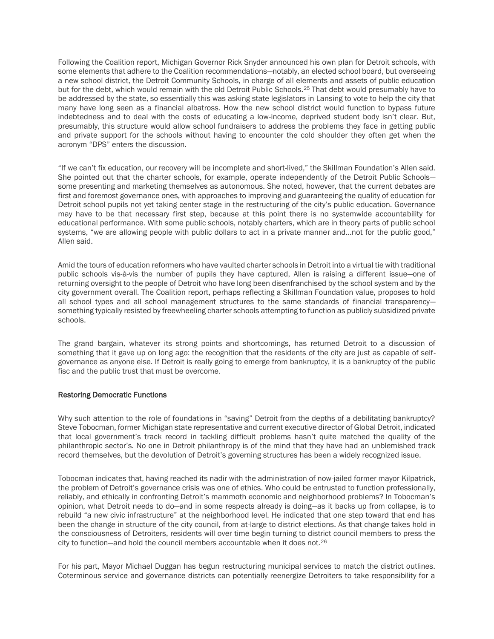Following the Coalition report, Michigan Governor Rick Snyder announced his own plan for Detroit schools, with some elements that adhere to the Coalition recommendations—notably, an elected school board, but overseeing a new school district, the Detroit Community Schools, in charge of all elements and assets of public education but for the debt, which would remain with the old Detroit Public Schools.<sup>25</sup> That debt would presumably have to be addressed by the state, so essentially this was asking state legislators in Lansing to vote to help the city that many have long seen as a financial albatross. How the new school district would function to bypass future indebtedness and to deal with the costs of educating a low-income, deprived student body isn't clear. But, presumably, this structure would allow school fundraisers to address the problems they face in getting public and private support for the schools without having to encounter the cold shoulder they often get when the acronym "DPS" enters the discussion.

"If we can't fix education, our recovery will be incomplete and short-lived," the Skillman Foundation's Allen said. She pointed out that the charter schools, for example, operate independently of the Detroit Public Schools some presenting and marketing themselves as autonomous. She noted, however, that the current debates are first and foremost governance ones, with approaches to improving and guaranteeing the quality of education for Detroit school pupils not yet taking center stage in the restructuring of the city's public education. Governance may have to be that necessary first step, because at this point there is no systemwide accountability for educational performance. With some public schools, notably charters, which are in theory parts of public school systems, "we are allowing people with public dollars to act in a private manner and…not for the public good," Allen said.

Amid the tours of education reformers who have vaulted charter schools in Detroit into a virtual tie with traditional public schools vis-à-vis the number of pupils they have captured, Allen is raising a different issue—one of returning oversight to the people of Detroit who have long been disenfranchised by the school system and by the city government overall. The Coalition report, perhaps reflecting a Skillman Foundation value, proposes to hold all school types and all school management structures to the same standards of financial transparency something typically resisted by freewheeling charter schools attempting to function as publicly subsidized private schools.

The grand bargain, whatever its strong points and shortcomings, has returned Detroit to a discussion of something that it gave up on long ago: the recognition that the residents of the city are just as capable of selfgovernance as anyone else. If Detroit is really going to emerge from bankruptcy, it is a bankruptcy of the public fisc and the public trust that must be overcome.

# Restoring Democratic Functions

Why such attention to the role of foundations in "saving" Detroit from the depths of a debilitating bankruptcy? Steve Tobocman, former Michigan state representative and current executive director of Global Detroit, indicated that local government's track record in tackling difficult problems hasn't quite matched the quality of the philanthropic sector's. No one in Detroit philanthropy is of the mind that they have had an unblemished track record themselves, but the devolution of Detroit's governing structures has been a widely recognized issue.

Tobocman indicates that, having reached its nadir with the administration of now-jailed former mayor Kilpatrick, the problem of Detroit's governance crisis was one of ethics. Who could be entrusted to function professionally, reliably, and ethically in confronting Detroit's mammoth economic and neighborhood problems? In Tobocman's opinion, what Detroit needs to do—and in some respects already is doing—as it backs up from collapse, is to rebuild "a new civic infrastructure" at the neighborhood level. He indicated that one step toward that end has been the change in structure of the city council, from at-large to district elections. As that change takes hold in the consciousness of Detroiters, residents will over time begin turning to district council members to press the city to function—and hold the council members accountable when it does not.<sup>26</sup>

For his part, Mayor Michael Duggan has begun restructuring municipal services to match the district outlines. Coterminous service and governance districts can potentially reenergize Detroiters to take responsibility for a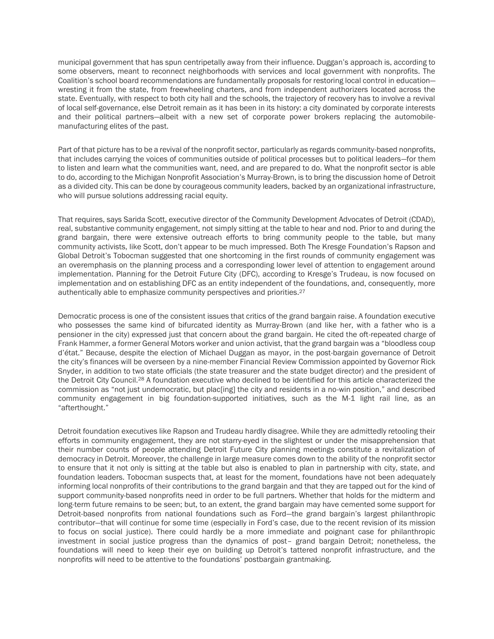municipal government that has spun centripetally away from their influence. Duggan's approach is, according to some observers, meant to reconnect neighborhoods with services and local government with nonprofits. The Coalition's school board recommendations are fundamentally proposals for restoring local control in education wresting it from the state, from freewheeling charters, and from independent authorizers located across the state. Eventually, with respect to both city hall and the schools, the trajectory of recovery has to involve a revival of local self-governance, else Detroit remain as it has been in its history: a city dominated by corporate interests and their political partners—albeit with a new set of corporate power brokers replacing the automobilemanufacturing elites of the past.

Part of that picture has to be a revival of the nonprofit sector, particularly as regards community-based nonprofits, that includes carrying the voices of communities outside of political processes but to political leaders—for them to listen and learn what the communities want, need, and are prepared to do. What the nonprofit sector is able to do, according to the Michigan Nonprofit Association's Murray-Brown, is to bring the discussion home of Detroit as a divided city. This can be done by courageous community leaders, backed by an organizational infrastructure, who will pursue solutions addressing racial equity.

That requires, says Sarida Scott, executive director of the Community Development Advocates of Detroit (CDAD), real, substantive community engagement, not simply sitting at the table to hear and nod. Prior to and during the grand bargain, there were extensive outreach efforts to bring community people to the table, but many community activists, like Scott, don't appear to be much impressed. Both The Kresge Foundation's Rapson and Global Detroit's Tobocman suggested that one shortcoming in the first rounds of community engagement was an overemphasis on the planning process and a corresponding lower level of attention to engagement around implementation. Planning for the Detroit Future City (DFC), according to Kresge's Trudeau, is now focused on implementation and on establishing DFC as an entity independent of the foundations, and, consequently, more authentically able to emphasize community perspectives and priorities.<sup>27</sup>

Democratic process is one of the consistent issues that critics of the grand bargain raise. A foundation executive who possesses the same kind of bifurcated identity as Murray-Brown (and like her, with a father who is a pensioner in the city) expressed just that concern about the grand bargain. He cited the oft-repeated charge of Frank Hammer, a former General Motors worker and union activist, that the grand bargain was a "bloodless coup d'état." Because, despite the election of Michael Duggan as mayor, in the post-bargain governance of Detroit the city's finances will be overseen by a nine-member Financial Review Commission appointed by Governor Rick Snyder, in addition to two state officials (the state treasurer and the state budget director) and the president of the Detroit City Council.<sup>28</sup> A foundation executive who declined to be identified for this article characterized the commission as "not just undemocratic, but plac[ing] the city and residents in a no-win position," and described community engagement in big foundation-supported initiatives, such as the M-1 light rail line, as an "afterthought."

Detroit foundation executives like Rapson and Trudeau hardly disagree. While they are admittedly retooling their efforts in community engagement, they are not starry-eyed in the slightest or under the misapprehension that their number counts of people attending Detroit Future City planning meetings constitute a revitalization of democracy in Detroit. Moreover, the challenge in large measure comes down to the ability of the nonprofit sector to ensure that it not only is sitting at the table but also is enabled to plan in partnership with city, state, and foundation leaders. Tobocman suspects that, at least for the moment, foundations have not been adequately informing local nonprofits of their contributions to the grand bargain and that they are tapped out for the kind of support community-based nonprofits need in order to be full partners. Whether that holds for the midterm and long-term future remains to be seen; but, to an extent, the grand bargain may have cemented some support for Detroit-based nonprofits from national foundations such as Ford—the grand bargain's largest philanthropic contributor—that will continue for some time (especially in Ford's case, due to the recent revision of its mission to focus on social justice). There could hardly be a more immediate and poignant case for philanthropic investment in social justice progress than the dynamics of post– grand bargain Detroit; nonetheless, the foundations will need to keep their eye on building up Detroit's tattered nonprofit infrastructure, and the nonprofits will need to be attentive to the foundations' postbargain grantmaking.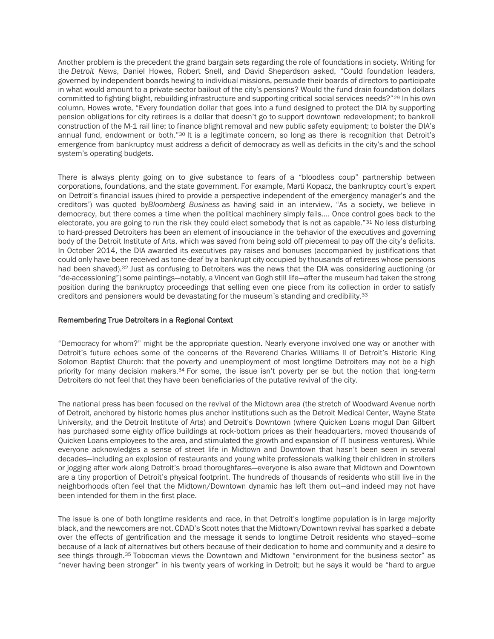Another problem is the precedent the grand bargain sets regarding the role of foundations in society. Writing for the *Detroit News*, Daniel Howes, Robert Snell, and David Shepardson asked, "Could foundation leaders, governed by independent boards hewing to individual missions, persuade their boards of directors to participate in what would amount to a private-sector bailout of the city's pensions? Would the fund drain foundation dollars committed to fighting blight, rebuilding infrastructure and supporting critical social services needs?"<sup>29</sup> In his own column, Howes wrote, "Every foundation dollar that goes into a fund designed to protect the DIA by supporting pension obligations for city retirees is a dollar that doesn't go to support downtown redevelopment; to bankroll construction of the M-1 rail line; to finance blight removal and new public safety equipment; to bolster the DIA's annual fund, endowment or both."<sup>30</sup> It is a legitimate concern, so long as there is recognition that Detroit's emergence from bankruptcy must address a deficit of democracy as well as deficits in the city's and the school system's operating budgets.

There is always plenty going on to give substance to fears of a "bloodless coup" partnership between corporations, foundations, and the state government. For example, Marti Kopacz, the bankruptcy court's expert on Detroit's financial issues (hired to provide a perspective independent of the emergency manager's and the creditors') was quoted by*Bloomberg Business* as having said in an interview, "As a society, we believe in democracy, but there comes a time when the political machinery simply fails…. Once control goes back to the electorate, you are going to run the risk they could elect somebody that is not as capable."<sup>31</sup> No less disturbing to hard-pressed Detroiters has been an element of insouciance in the behavior of the executives and governing body of the Detroit Institute of Arts, which was saved from being sold off piecemeal to pay off the city's deficits. In October 2014, the DIA awarded its executives pay raises and bonuses (accompanied by justifications that could only have been received as tone-deaf by a bankrupt city occupied by thousands of retirees whose pensions had been shaved).<sup>32</sup> Just as confusing to Detroiters was the news that the DIA was considering auctioning (or "de-accessioning") some paintings—notably, a Vincent van Gogh still life—after the museum had taken the strong position during the bankruptcy proceedings that selling even one piece from its collection in order to satisfy creditors and pensioners would be devastating for the museum's standing and credibility.<sup>33</sup>

## Remembering True Detroiters in a Regional Context

"Democracy for whom?" might be the appropriate question. Nearly everyone involved one way or another with Detroit's future echoes some of the concerns of the Reverend Charles Williams II of Detroit's Historic King Solomon Baptist Church: that the poverty and unemployment of most longtime Detroiters may not be a high priority for many decision makers.<sup>34</sup> For some, the issue isn't poverty per se but the notion that long-term Detroiters do not feel that they have been beneficiaries of the putative revival of the city.

The national press has been focused on the revival of the Midtown area (the stretch of Woodward Avenue north of Detroit, anchored by historic homes plus anchor institutions such as the Detroit Medical Center, Wayne State University, and the Detroit Institute of Arts) and Detroit's Downtown (where Quicken Loans mogul Dan Gilbert has purchased some eighty office buildings at rock-bottom prices as their headquarters, moved thousands of Quicken Loans employees to the area, and stimulated the growth and expansion of IT business ventures). While everyone acknowledges a sense of street life in Midtown and Downtown that hasn't been seen in several decades—including an explosion of restaurants and young white professionals walking their children in strollers or jogging after work along Detroit's broad thoroughfares—everyone is also aware that Midtown and Downtown are a tiny proportion of Detroit's physical footprint. The hundreds of thousands of residents who still live in the neighborhoods often feel that the Midtown/Downtown dynamic has left them out—and indeed may not have been intended for them in the first place.

The issue is one of both longtime residents and race, in that Detroit's longtime population is in large majority black, and the newcomers are not. CDAD's Scott notes that the Midtown/Downtown revival has sparked a debate over the effects of gentrification and the message it sends to longtime Detroit residents who stayed—some because of a lack of alternatives but others because of their dedication to home and community and a desire to see things through.<sup>35</sup> Tobocman views the Downtown and Midtown "environment for the business sector" as "never having been stronger" in his twenty years of working in Detroit; but he says it would be "hard to argue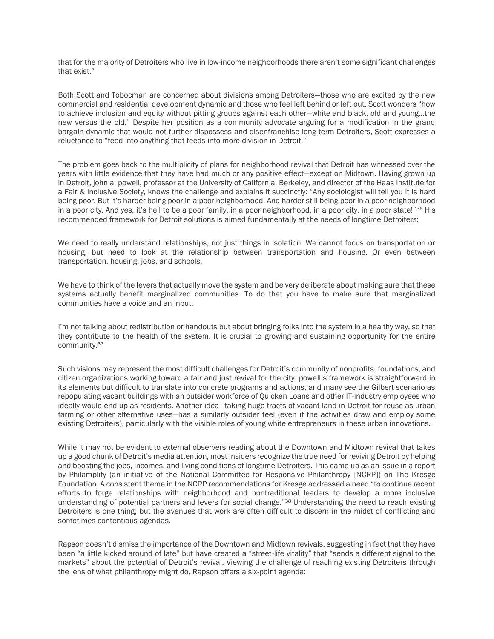that for the majority of Detroiters who live in low-income neighborhoods there aren't some significant challenges that exist."

Both Scott and Tobocman are concerned about divisions among Detroiters—those who are excited by the new commercial and residential development dynamic and those who feel left behind or left out. Scott wonders "how to achieve inclusion and equity without pitting groups against each other—white and black, old and young…the new versus the old." Despite her position as a community advocate arguing for a modification in the grand bargain dynamic that would not further dispossess and disenfranchise long-term Detroiters, Scott expresses a reluctance to "feed into anything that feeds into more division in Detroit."

The problem goes back to the multiplicity of plans for neighborhood revival that Detroit has witnessed over the years with little evidence that they have had much or any positive effect—except on Midtown. Having grown up in Detroit, john a. powell, professor at the University of California, Berkeley, and director of the Haas Institute for a Fair & Inclusive Society, knows the challenge and explains it succinctly: "Any sociologist will tell you it is hard being poor. But it's harder being poor in a poor neighborhood. And harder still being poor in a poor neighborhood in a poor city. And yes, it's hell to be a poor family, in a poor neighborhood, in a poor city, in a poor state!"<sup>36</sup> His recommended framework for Detroit solutions is aimed fundamentally at the needs of longtime Detroiters:

We need to really understand relationships, not just things in isolation. We cannot focus on transportation or housing, but need to look at the relationship between transportation and housing. Or even between transportation, housing, jobs, and schools.

We have to think of the levers that actually move the system and be very deliberate about making sure that these systems actually benefit marginalized communities. To do that you have to make sure that marginalized communities have a voice and an input.

I'm not talking about redistribution or handouts but about bringing folks into the system in a healthy way, so that they contribute to the health of the system. It is crucial to growing and sustaining opportunity for the entire community.<sup>37</sup>

Such visions may represent the most difficult challenges for Detroit's community of nonprofits, foundations, and citizen organizations working toward a fair and just revival for the city. powell's framework is straightforward in its elements but difficult to translate into concrete programs and actions, and many see the Gilbert scenario as repopulating vacant buildings with an outsider workforce of Quicken Loans and other IT-industry employees who ideally would end up as residents. Another idea—taking huge tracts of vacant land in Detroit for reuse as urban farming or other alternative uses—has a similarly outsider feel (even if the activities draw and employ some existing Detroiters), particularly with the visible roles of young white entrepreneurs in these urban innovations.

While it may not be evident to external observers reading about the Downtown and Midtown revival that takes up a good chunk of Detroit's media attention, most insiders recognize the true need for reviving Detroit by helping and boosting the jobs, incomes, and living conditions of longtime Detroiters. This came up as an issue in a report by Philamplify (an initiative of the National Committee for Responsive Philanthropy [NCRP]) on The Kresge Foundation. A consistent theme in the NCRP recommendations for Kresge addressed a need "to continue recent efforts to forge relationships with neighborhood and nontraditional leaders to develop a more inclusive understanding of potential partners and levers for social change."<sup>38</sup> Understanding the need to reach existing Detroiters is one thing, but the avenues that work are often difficult to discern in the midst of conflicting and sometimes contentious agendas.

Rapson doesn't dismiss the importance of the Downtown and Midtown revivals, suggesting in fact that they have been "a little kicked around of late" but have created a "street-life vitality" that "sends a different signal to the markets" about the potential of Detroit's revival. Viewing the challenge of reaching existing Detroiters through the lens of what philanthropy might do, Rapson offers a six-point agenda: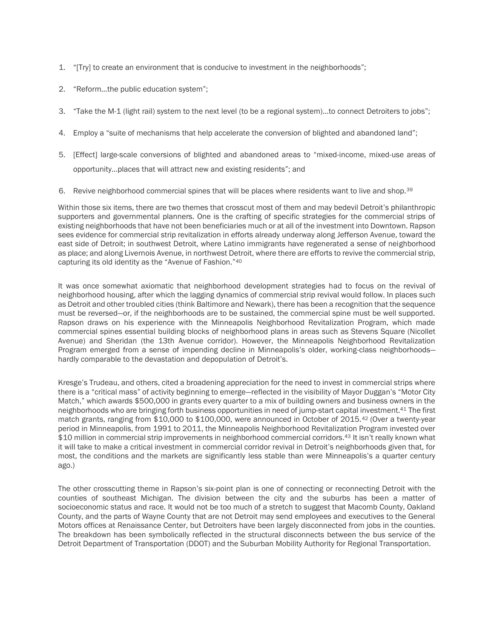- 1. "[Try] to create an environment that is conducive to investment in the neighborhoods";
- 2. "Reform…the public education system";
- 3. "Take the M-1 (light rail) system to the next level (to be a regional system)…to connect Detroiters to jobs";
- 4. Employ a "suite of mechanisms that help accelerate the conversion of blighted and abandoned land";
- 5. [Effect] large-scale conversions of blighted and abandoned areas to "mixed-income, mixed-use areas of opportunity…places that will attract new and existing residents"; and
- 6. Revive neighborhood commercial spines that will be places where residents want to live and shop.<sup>39</sup>

Within those six items, there are two themes that crosscut most of them and may bedevil Detroit's philanthropic supporters and governmental planners. One is the crafting of specific strategies for the commercial strips of existing neighborhoods that have not been beneficiaries much or at all of the investment into Downtown. Rapson sees evidence for commercial strip revitalization in efforts already underway along Jefferson Avenue, toward the east side of Detroit; in southwest Detroit, where Latino immigrants have regenerated a sense of neighborhood as place; and along Livernois Avenue, in northwest Detroit, where there are efforts to revive the commercial strip, capturing its old identity as the "Avenue of Fashion."<sup>40</sup>

It was once somewhat axiomatic that neighborhood development strategies had to focus on the revival of neighborhood housing, after which the lagging dynamics of commercial strip revival would follow. In places such as Detroit and other troubled cities (think Baltimore and Newark), there has been a recognition that the sequence must be reversed—or, if the neighborhoods are to be sustained, the commercial spine must be well supported. Rapson draws on his experience with the Minneapolis Neighborhood Revitalization Program, which made commercial spines essential building blocks of neighborhood plans in areas such as Stevens Square (Nicollet Avenue) and Sheridan (the 13th Avenue corridor). However, the Minneapolis Neighborhood Revitalization Program emerged from a sense of impending decline in Minneapolis's older, working-class neighborhoods hardly comparable to the devastation and depopulation of Detroit's.

Kresge's Trudeau, and others, cited a broadening appreciation for the need to invest in commercial strips where there is a "critical mass" of activity beginning to emerge—reflected in the visibility of Mayor Duggan's "Motor City Match," which awards \$500,000 in grants every quarter to a mix of building owners and business owners in the neighborhoods who are bringing forth business opportunities in need of jump-start capital investment.<sup>41</sup> The first match grants, ranging from \$10,000 to \$100,000, were announced in October of 2015.<sup>42</sup> (Over a twenty-year period in Minneapolis, from 1991 to 2011, the Minneapolis Neighborhood Revitalization Program invested over \$10 million in commercial strip improvements in neighborhood commercial corridors.<sup>43</sup> It isn't really known what it will take to make a critical investment in commercial corridor revival in Detroit's neighborhoods given that, for most, the conditions and the markets are significantly less stable than were Minneapolis's a quarter century ago.)

The other crosscutting theme in Rapson's six-point plan is one of connecting or reconnecting Detroit with the counties of southeast Michigan. The division between the city and the suburbs has been a matter of socioeconomic status and race. It would not be too much of a stretch to suggest that Macomb County, Oakland County, and the parts of Wayne County that are not Detroit may send employees and executives to the General Motors offices at Renaissance Center, but Detroiters have been largely disconnected from jobs in the counties. The breakdown has been symbolically reflected in the structural disconnects between the bus service of the Detroit Department of Transportation (DDOT) and the Suburban Mobility Authority for Regional Transportation.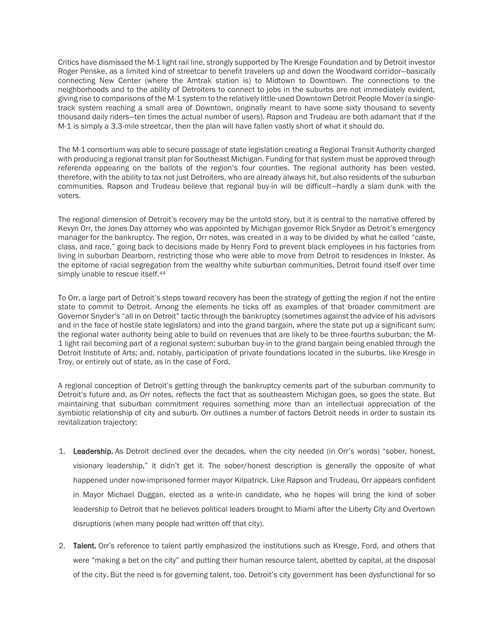Critics have dismissed the M-1 light rail line, strongly supported by The Kresge Foundation and by Detroit investor Roger Penske, as a limited kind of streetcar to benefit travelers up and down the Woodward corridor—basically connecting New Center (where the Amtrak station is) to Midtown to Downtown. The connections to the neighborhoods and to the ability of Detroiters to connect to jobs in the suburbs are not immediately evident, giving rise to comparisons of the M-1 system to the relatively little-used Downtown Detroit People Mover (a singletrack system reaching a small area of Downtown, originally meant to have some sixty thousand to seventy thousand daily riders—ten times the actual number of users). Rapson and Trudeau are both adamant that if the M-1 is simply a 3.3-mile streetcar, then the plan will have fallen vastly short of what it should do.

The M-1 consortium was able to secure passage of state legislation creating a Regional Transit Authority charged with producing a regional transit plan for Southeast Michigan. Funding for that system must be approved through referenda appearing on the ballots of the region's four counties. The regional authority has been vested, therefore, with the ability to tax not just Detroiters, who are already always hit, but also residents of the suburban communities. Rapson and Trudeau believe that regional buy-in will be difficult—hardly a slam dunk with the voters.

The regional dimension of Detroit's recovery may be the untold story, but it is central to the narrative offered by Kevyn Orr, the Jones Day attorney who was appointed by Michigan governor Rick Snyder as Detroit's emergency manager for the bankruptcy. The region, Orr notes, was created in a way to be divided by what he called "caste, class, and race," going back to decisions made by Henry Ford to prevent black employees in his factories from living in suburban Dearborn, restricting those who were able to move from Detroit to residences in Inkster. As the epitome of racial segregation from the wealthy white suburban communities, Detroit found itself over time simply unable to rescue itself.<sup>44</sup>

To Orr, a large part of Detroit's steps toward recovery has been the strategy of getting the region if not the entire state to commit to Detroit. Among the elements he ticks off as examples of that broader commitment are Governor Snyder's "all in on Detroit" tactic through the bankruptcy (sometimes against the advice of his advisors and in the face of hostile state legislators) and into the grand bargain, where the state put up a significant sum; the regional water authority being able to build on revenues that are likely to be three-fourths suburban; the M-1 light rail becoming part of a regional system; suburban buy-in to the grand bargain being enabled through the Detroit Institute of Arts; and, notably, participation of private foundations located in the suburbs, like Kresge in Troy, or entirely out of state, as in the case of Ford.

A regional conception of Detroit's getting through the bankruptcy cements part of the suburban community to Detroit's future and, as Orr notes, reflects the fact that as southeastern Michigan goes, so goes the state. But maintaining that suburban commitment requires something more than an intellectual appreciation of the symbiotic relationship of city and suburb. Orr outlines a number of factors Detroit needs in order to sustain its revitalization trajectory:

- 1. Leadership. As Detroit declined over the decades, when the city needed (in Orr's words) "sober, honest, visionary leadership," it didn't get it. The sober/honest description is generally the opposite of what happened under now-imprisoned former mayor Kilpatrick. Like Rapson and Trudeau, Orr appears confident in Mayor Michael Duggan, elected as a write-in candidate, who he hopes will bring the kind of sober leadership to Detroit that he believes political leaders brought to Miami after the Liberty City and Overtown disruptions (when many people had written off that city).
- 2. Talent. Orr's reference to talent partly emphasized the institutions such as Kresge, Ford, and others that were "making a bet on the city" and putting their human resource talent, abetted by capital, at the disposal of the city. But the need is for governing talent, too. Detroit's city government has been dysfunctional for so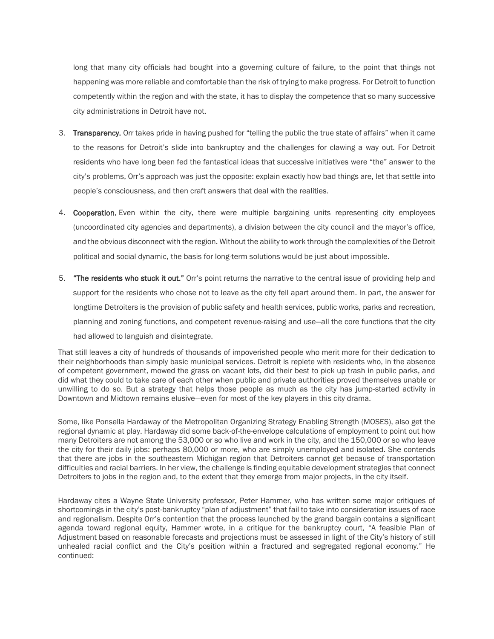long that many city officials had bought into a governing culture of failure, to the point that things not happening was more reliable and comfortable than the risk of trying to make progress. For Detroit to function competently within the region and with the state, it has to display the competence that so many successive city administrations in Detroit have not.

- 3. Transparency. Orr takes pride in having pushed for "telling the public the true state of affairs" when it came to the reasons for Detroit's slide into bankruptcy and the challenges for clawing a way out. For Detroit residents who have long been fed the fantastical ideas that successive initiatives were "the" answer to the city's problems, Orr's approach was just the opposite: explain exactly how bad things are, let that settle into people's consciousness, and then craft answers that deal with the realities.
- 4. Cooperation. Even within the city, there were multiple bargaining units representing city employees (uncoordinated city agencies and departments), a division between the city council and the mayor's office, and the obvious disconnect with the region. Without the ability to work through the complexities of the Detroit political and social dynamic, the basis for long-term solutions would be just about impossible.
- 5. **"The residents who stuck it out."** Orr's point returns the narrative to the central issue of providing help and support for the residents who chose not to leave as the city fell apart around them. In part, the answer for longtime Detroiters is the provision of public safety and health services, public works, parks and recreation, planning and zoning functions, and competent revenue-raising and use—all the core functions that the city had allowed to languish and disintegrate.

That still leaves a city of hundreds of thousands of impoverished people who merit more for their dedication to their neighborhoods than simply basic municipal services. Detroit is replete with residents who, in the absence of competent government, mowed the grass on vacant lots, did their best to pick up trash in public parks, and did what they could to take care of each other when public and private authorities proved themselves unable or unwilling to do so. But a strategy that helps those people as much as the city has jump-started activity in Downtown and Midtown remains elusive—even for most of the key players in this city drama.

Some, like Ponsella Hardaway of the Metropolitan Organizing Strategy Enabling Strength (MOSES), also get the regional dynamic at play. Hardaway did some back-of-the-envelope calculations of employment to point out how many Detroiters are not among the 53,000 or so who live and work in the city, and the 150,000 or so who leave the city for their daily jobs: perhaps 80,000 or more, who are simply unemployed and isolated. She contends that there are jobs in the southeastern Michigan region that Detroiters cannot get because of transportation difficulties and racial barriers. In her view, the challenge is finding equitable development strategies that connect Detroiters to jobs in the region and, to the extent that they emerge from major projects, in the city itself.

Hardaway cites a Wayne State University professor, Peter Hammer, who has written some major critiques of shortcomings in the city's post-bankruptcy "plan of adjustment" that fail to take into consideration issues of race and regionalism. Despite Orr's contention that the process launched by the grand bargain contains a significant agenda toward regional equity, Hammer wrote, in a critique for the bankruptcy court, "A feasible Plan of Adjustment based on reasonable forecasts and projections must be assessed in light of the City's history of still unhealed racial conflict and the City's position within a fractured and segregated regional economy." He continued: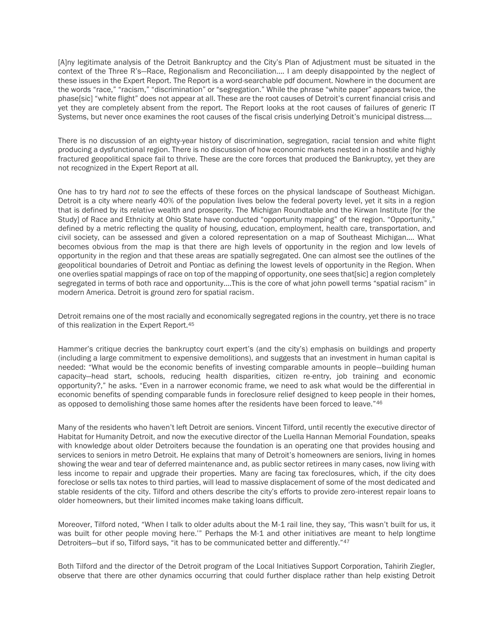[A]ny legitimate analysis of the Detroit Bankruptcy and the City's Plan of Adjustment must be situated in the context of the Three R's-Race, Regionalism and Reconciliation.... I am deeply disappointed by the neglect of these issues in the Expert Report. The Report is a word-searchable pdf document. Nowhere in the document are the words "race," "racism," "discrimination" or "segregation." While the phrase "white paper" appears twice, the phase[sic] "white flight" does not appear at all. These are the root causes of Detroit's current financial crisis and yet they are completely absent from the report. The Report looks at the root causes of failures of generic IT Systems, but never once examines the root causes of the fiscal crisis underlying Detroit's municipal distress….

There is no discussion of an eighty-year history of discrimination, segregation, racial tension and white flight producing a dysfunctional region. There is no discussion of how economic markets nested in a hostile and highly fractured geopolitical space fail to thrive. These are the core forces that produced the Bankruptcy, yet they are not recognized in the Expert Report at all.

One has to try hard *not to see* the effects of these forces on the physical landscape of Southeast Michigan. Detroit is a city where nearly 40% of the population lives below the federal poverty level, yet it sits in a region that is defined by its relative wealth and prosperity. The Michigan Roundtable and the Kirwan Institute [for the Study] of Race and Ethnicity at Ohio State have conducted "opportunity mapping" of the region. "Opportunity," defined by a metric reflecting the quality of housing, education, employment, health care, transportation, and civil society, can be assessed and given a colored representation on a map of Southeast Michigan…. What becomes obvious from the map is that there are high levels of opportunity in the region and low levels of opportunity in the region and that these areas are spatially segregated. One can almost see the outlines of the geopolitical boundaries of Detroit and Pontiac as defining the lowest levels of opportunity in the Region. When one overlies spatial mappings of race on top of the mapping of opportunity, one sees that[sic] a region completely segregated in terms of both race and opportunity.…This is the core of what john powell terms "spatial racism" in modern America. Detroit is ground zero for spatial racism.

Detroit remains one of the most racially and economically segregated regions in the country, yet there is no trace of this realization in the Expert Report.<sup>45</sup>

Hammer's critique decries the bankruptcy court expert's (and the city's) emphasis on buildings and property (including a large commitment to expensive demolitions), and suggests that an investment in human capital is needed: "What would be the economic benefits of investing comparable amounts in people—building human capacity—head start, schools, reducing health disparities, citizen re-entry, job training and economic opportunity?," he asks. "Even in a narrower economic frame, we need to ask what would be the differential in economic benefits of spending comparable funds in foreclosure relief designed to keep people in their homes, as opposed to demolishing those same homes after the residents have been forced to leave."46

Many of the residents who haven't left Detroit are seniors. Vincent Tilford, until recently the executive director of Habitat for Humanity Detroit, and now the executive director of the Luella Hannan Memorial Foundation, speaks with knowledge about older Detroiters because the foundation is an operating one that provides housing and services to seniors in metro Detroit. He explains that many of Detroit's homeowners are seniors, living in homes showing the wear and tear of deferred maintenance and, as public sector retirees in many cases, now living with less income to repair and upgrade their properties. Many are facing tax foreclosures, which, if the city does foreclose or sells tax notes to third parties, will lead to massive displacement of some of the most dedicated and stable residents of the city. Tilford and others describe the city's efforts to provide zero-interest repair loans to older homeowners, but their limited incomes make taking loans difficult.

Moreover, Tilford noted, "When I talk to older adults about the M-1 rail line, they say, 'This wasn't built for us, it was built for other people moving here.'" Perhaps the M-1 and other initiatives are meant to help longtime Detroiters-but if so, Tilford says, "it has to be communicated better and differently."<sup>47</sup>

Both Tilford and the director of the Detroit program of the Local Initiatives Support Corporation, Tahirih Ziegler, observe that there are other dynamics occurring that could further displace rather than help existing Detroit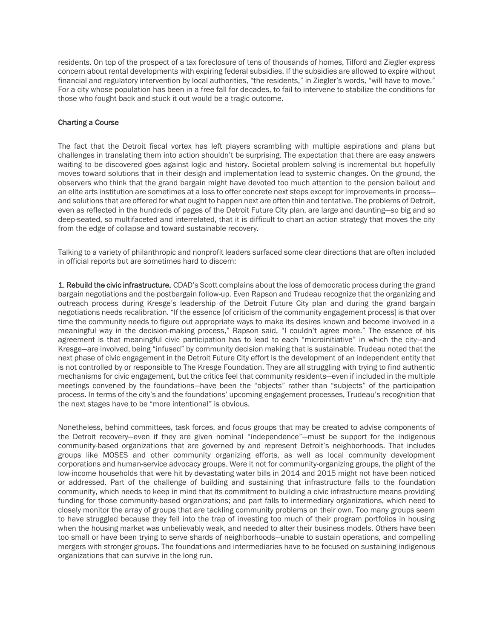residents. On top of the prospect of a tax foreclosure of tens of thousands of homes, Tilford and Ziegler express concern about rental developments with expiring federal subsidies. If the subsidies are allowed to expire without financial and regulatory intervention by local authorities, "the residents," in Ziegler's words, "will have to move." For a city whose population has been in a free fall for decades, to fail to intervene to stabilize the conditions for those who fought back and stuck it out would be a tragic outcome.

# Charting a Course

The fact that the Detroit fiscal vortex has left players scrambling with multiple aspirations and plans but challenges in translating them into action shouldn't be surprising. The expectation that there are easy answers waiting to be discovered goes against logic and history. Societal problem solving is incremental but hopefully moves toward solutions that in their design and implementation lead to systemic changes. On the ground, the observers who think that the grand bargain might have devoted too much attention to the pension bailout and an elite arts institution are sometimes at a loss to offer concrete next steps except for improvements in process and solutions that are offered for what ought to happen next are often thin and tentative. The problems of Detroit, even as reflected in the hundreds of pages of the Detroit Future City plan, are large and daunting—so big and so deep-seated, so multifaceted and interrelated, that it is difficult to chart an action strategy that moves the city from the edge of collapse and toward sustainable recovery.

Talking to a variety of philanthropic and nonprofit leaders surfaced some clear directions that are often included in official reports but are sometimes hard to discern:

1. Rebuild the civic infrastructure. CDAD's Scott complains about the loss of democratic process during the grand bargain negotiations and the postbargain follow-up. Even Rapson and Trudeau recognize that the organizing and outreach process during Kresge's leadership of the Detroit Future City plan and during the grand bargain negotiations needs recalibration. "If the essence [of criticism of the community engagement process] is that over time the community needs to figure out appropriate ways to make its desires known and become involved in a meaningful way in the decision-making process," Rapson said, "I couldn't agree more." The essence of his agreement is that meaningful civic participation has to lead to each "microinitiative" in which the city—and Kresge—are involved, being "infused" by community decision making that is sustainable. Trudeau noted that the next phase of civic engagement in the Detroit Future City effort is the development of an independent entity that is not controlled by or responsible to The Kresge Foundation. They are all struggling with trying to find authentic mechanisms for civic engagement, but the critics feel that community residents—even if included in the multiple meetings convened by the foundations—have been the "objects" rather than "subjects" of the participation process. In terms of the city's and the foundations' upcoming engagement processes, Trudeau's recognition that the next stages have to be "more intentional" is obvious.

Nonetheless, behind committees, task forces, and focus groups that may be created to advise components of the Detroit recovery—even if they are given nominal "independence"—must be support for the indigenous community-based organizations that are governed by and represent Detroit's neighborhoods. That includes groups like MOSES and other community organizing efforts, as well as local community development corporations and human-service advocacy groups. Were it not for community-organizing groups, the plight of the low-income households that were hit by devastating water bills in 2014 and 2015 might not have been noticed or addressed. Part of the challenge of building and sustaining that infrastructure falls to the foundation community, which needs to keep in mind that its commitment to building a civic infrastructure means providing funding for those community-based organizations; and part falls to intermediary organizations, which need to closely monitor the array of groups that are tackling community problems on their own. Too many groups seem to have struggled because they fell into the trap of investing too much of their program portfolios in housing when the housing market was unbelievably weak, and needed to alter their business models. Others have been too small or have been trying to serve shards of neighborhoods—unable to sustain operations, and compelling mergers with stronger groups. The foundations and intermediaries have to be focused on sustaining indigenous organizations that can survive in the long run.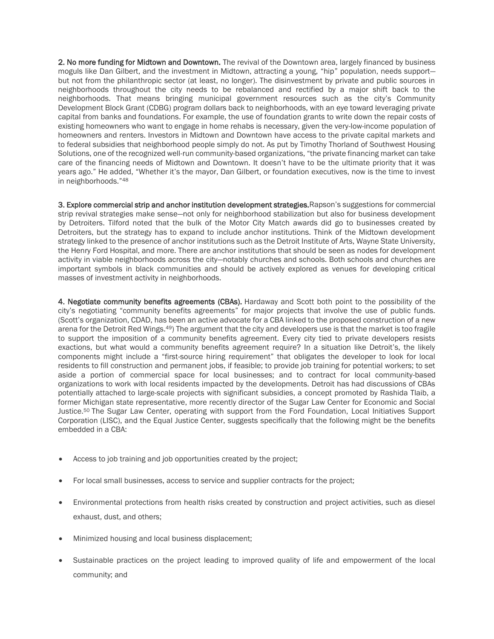2. No more funding for Midtown and Downtown. The revival of the Downtown area, largely financed by business moguls like Dan Gilbert, and the investment in Midtown, attracting a young, "hip" population, needs support but not from the philanthropic sector (at least, no longer). The disinvestment by private and public sources in neighborhoods throughout the city needs to be rebalanced and rectified by a major shift back to the neighborhoods. That means bringing municipal government resources such as the city's Community Development Block Grant (CDBG) program dollars back to neighborhoods, with an eye toward leveraging private capital from banks and foundations. For example, the use of foundation grants to write down the repair costs of existing homeowners who want to engage in home rehabs is necessary, given the very-low-income population of homeowners and renters. Investors in Midtown and Downtown have access to the private capital markets and to federal subsidies that neighborhood people simply do not. As put by Timothy Thorland of Southwest Housing Solutions, one of the recognized well-run community-based organizations, "the private financing market can take care of the financing needs of Midtown and Downtown. It doesn't have to be the ultimate priority that it was years ago." He added, "Whether it's the mayor, Dan Gilbert, or foundation executives, now is the time to invest in neighborhoods."<sup>48</sup>

3. Explore commercial strip and anchor institution development strategies.Rapson's suggestions for commercial strip revival strategies make sense—not only for neighborhood stabilization but also for business development by Detroiters. Tilford noted that the bulk of the Motor City Match awards did go to businesses created by Detroiters, but the strategy has to expand to include anchor institutions. Think of the Midtown development strategy linked to the presence of anchor institutions such as the Detroit Institute of Arts, Wayne State University, the Henry Ford Hospital, and more. There are anchor institutions that should be seen as nodes for development activity in viable neighborhoods across the city—notably churches and schools. Both schools and churches are important symbols in black communities and should be actively explored as venues for developing critical masses of investment activity in neighborhoods.

4. Negotiate community benefits agreements (CBAs). Hardaway and Scott both point to the possibility of the city's negotiating "community benefits agreements" for major projects that involve the use of public funds. (Scott's organization, CDAD, has been an active advocate for a CBA linked to the proposed construction of a new arena for the Detroit Red Wings.49) The argument that the city and developers use is that the market is too fragile to support the imposition of a community benefits agreement. Every city tied to private developers resists exactions, but what would a community benefits agreement require? In a situation like Detroit's, the likely components might include a "first-source hiring requirement" that obligates the developer to look for local residents to fill construction and permanent jobs, if feasible; to provide job training for potential workers; to set aside a portion of commercial space for local businesses; and to contract for local community-based organizations to work with local residents impacted by the developments. Detroit has had discussions of CBAs potentially attached to large-scale projects with significant subsidies, a concept promoted by Rashida Tlaib, a former Michigan state representative, more recently director of the Sugar Law Center for Economic and Social Justice.<sup>50</sup> The Sugar Law Center, operating with support from the Ford Foundation, Local Initiatives Support Corporation (LISC), and the Equal Justice Center, suggests specifically that the following might be the benefits embedded in a CBA:

- Access to job training and job opportunities created by the project;
- For local small businesses, access to service and supplier contracts for the project;
- Environmental protections from health risks created by construction and project activities, such as diesel exhaust, dust, and others;
- Minimized housing and local business displacement;
- Sustainable practices on the project leading to improved quality of life and empowerment of the local community; and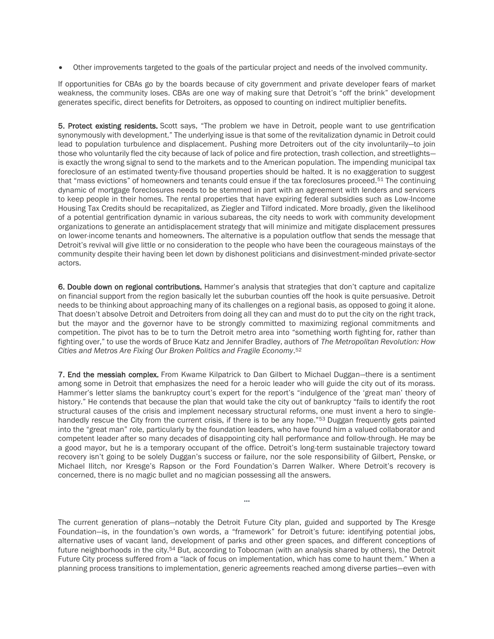Other improvements targeted to the goals of the particular project and needs of the involved community.

If opportunities for CBAs go by the boards because of city government and private developer fears of market weakness, the community loses. CBAs are one way of making sure that Detroit's "off the brink" development generates specific, direct benefits for Detroiters, as opposed to counting on indirect multiplier benefits.

5. Protect existing residents. Scott says, "The problem we have in Detroit, people want to use gentrification synonymously with development." The underlying issue is that some of the revitalization dynamic in Detroit could lead to population turbulence and displacement. Pushing more Detroiters out of the city involuntarily—to join those who voluntarily fled the city because of lack of police and fire protection, trash collection, and streetlights is exactly the wrong signal to send to the markets and to the American population. The impending municipal tax foreclosure of an estimated twenty-five thousand properties should be halted. It is no exaggeration to suggest that "mass evictions" of homeowners and tenants could ensue if the tax foreclosures proceed.<sup>51</sup> The continuing dynamic of mortgage foreclosures needs to be stemmed in part with an agreement with lenders and servicers to keep people in their homes. The rental properties that have expiring federal subsidies such as Low-Income Housing Tax Credits should be recapitalized, as Ziegler and Tilford indicated. More broadly, given the likelihood of a potential gentrification dynamic in various subareas, the city needs to work with community development organizations to generate an antidisplacement strategy that will minimize and mitigate displacement pressures on lower-income tenants and homeowners. The alternative is a population outflow that sends the message that Detroit's revival will give little or no consideration to the people who have been the courageous mainstays of the community despite their having been let down by dishonest politicians and disinvestment-minded private-sector actors.

6. Double down on regional contributions. Hammer's analysis that strategies that don't capture and capitalize on financial support from the region basically let the suburban counties off the hook is quite persuasive. Detroit needs to be thinking about approaching many of its challenges on a regional basis, as opposed to going it alone. That doesn't absolve Detroit and Detroiters from doing all they can and must do to put the city on the right track, but the mayor and the governor have to be strongly committed to maximizing regional commitments and competition. The pivot has to be to turn the Detroit metro area into "something worth fighting for, rather than fighting over," to use the words of Bruce Katz and Jennifer Bradley, authors of *The Metropolitan Revolution: How Cities and Metros Are Fixing Our Broken Politics and Fragile Economy*. 52

7. End the messiah complex. From Kwame Kilpatrick to Dan Gilbert to Michael Duggan—there is a sentiment among some in Detroit that emphasizes the need for a heroic leader who will guide the city out of its morass. Hammer's letter slams the bankruptcy court's expert for the report's "indulgence of the 'great man' theory of history." He contends that because the plan that would take the city out of bankruptcy "fails to identify the root structural causes of the crisis and implement necessary structural reforms, one must invent a hero to singlehandedly rescue the City from the current crisis, if there is to be any hope."<sup>53</sup> Duggan frequently gets painted into the "great man" role, particularly by the foundation leaders, who have found him a valued collaborator and competent leader after so many decades of disappointing city hall performance and follow-through. He may be a good mayor, but he is a temporary occupant of the office. Detroit's long-term sustainable trajectory toward recovery isn't going to be solely Duggan's success or failure, nor the sole responsibility of Gilbert, Penske, or Michael Ilitch, nor Kresge's Rapson or the Ford Foundation's Darren Walker. Where Detroit's recovery is concerned, there is no magic bullet and no magician possessing all the answers.

The current generation of plans—notably the Detroit Future City plan, guided and supported by The Kresge Foundation—is, in the foundation's own words, a "framework" for Detroit's future: identifying potential jobs, alternative uses of vacant land, development of parks and other green spaces, and different conceptions of future neighborhoods in the city.<sup>54</sup> But, according to Tobocman (with an analysis shared by others), the Detroit Future City process suffered from a "lack of focus on implementation, which has come to haunt them." When a planning process transitions to implementation, generic agreements reached among diverse parties—even with

…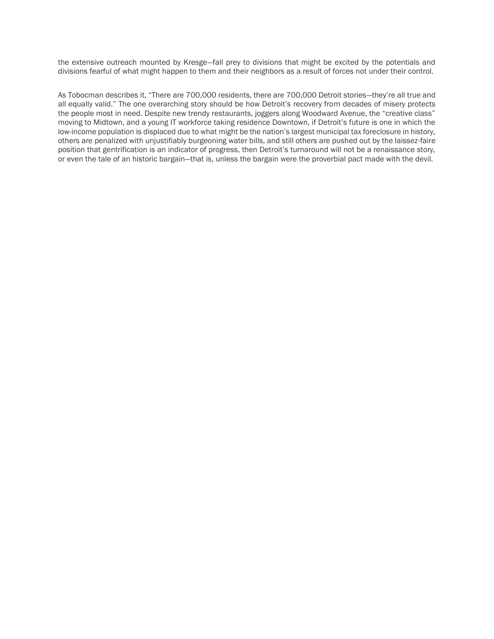the extensive outreach mounted by Kresge—fall prey to divisions that might be excited by the potentials and divisions fearful of what might happen to them and their neighbors as a result of forces not under their control.

As Tobocman describes it, "There are 700,000 residents, there are 700,000 Detroit stories—they're all true and all equally valid." The one overarching story should be how Detroit's recovery from decades of misery protects the people most in need. Despite new trendy restaurants, joggers along Woodward Avenue, the "creative class" moving to Midtown, and a young IT workforce taking residence Downtown, if Detroit's future is one in which the low-income population is displaced due to what might be the nation's largest municipal tax foreclosure in history, others are penalized with unjustifiably burgeoning water bills, and still others are pushed out by the laissez-faire position that gentrification is an indicator of progress, then Detroit's turnaround will not be a renaissance story, or even the tale of an historic bargain—that is, unless the bargain were the proverbial pact made with the devil.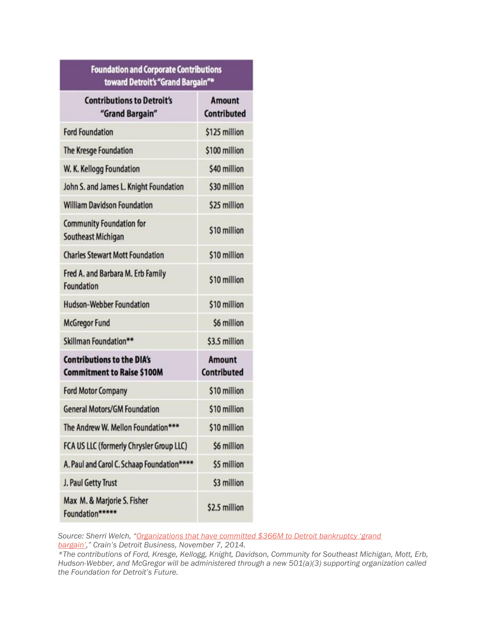| <b>Foundation and Corporate Contributions</b><br>toward Detroit's "Grand Bargain"* |                                     |
|------------------------------------------------------------------------------------|-------------------------------------|
| <b>Contributions to Detroit's</b><br>"Grand Bargain"                               | <b>Amount</b><br><b>Contributed</b> |
| <b>Ford Foundation</b>                                                             | \$125 million                       |
| The Kresge Foundation                                                              | \$100 million                       |
| W. K. Kellogg Foundation                                                           | \$40 million                        |
| John S. and James L. Knight Foundation                                             | \$30 million                        |
| <b>William Davidson Foundation</b>                                                 | \$25 million                        |
| <b>Community Foundation for</b><br>Southeast Michigan                              | \$10 million                        |
| <b>Charles Stewart Mott Foundation</b>                                             | \$10 million                        |
| Fred A. and Barbara M. Erb Family<br>Foundation                                    | \$10 million                        |
| <b>Hudson-Webber Foundation</b>                                                    | \$10 million                        |
| <b>McGregor Fund</b>                                                               | \$6 million                         |
| Skillman Foundation**                                                              | \$3.5 million                       |
| <b>Contributions to the DIA's</b><br><b>Commitment to Raise \$100M</b>             | <b>Amount</b><br><b>Contributed</b> |
| <b>Ford Motor Company</b>                                                          | \$10 million                        |
| <b>General Motors/GM Foundation</b>                                                | \$10 million                        |
| The Andrew W. Mellon Foundation***                                                 | \$10 million                        |
| FCA US LLC (formerly Chrysler Group LLC)                                           | \$6 million                         |
| A. Paul and Carol C. Schaap Foundation****                                         | \$5 million                         |
| J. Paul Getty Trust                                                                | \$3 million                         |
| Max M. & Marjorie S. Fisher<br>Foundation*****                                     | \$2.5 million                       |

*Source: Sherri Welch, ["Organizations that have committed \\$366M to Detroit bankruptcy 'grand](http://www.crainsdetroit.com/article/20141107/NEWS/141109882/organizations-that-have-committed-366m-to-detroit-bankruptcy-grand)  [bargain',](http://www.crainsdetroit.com/article/20141107/NEWS/141109882/organizations-that-have-committed-366m-to-detroit-bankruptcy-grand)" Crain's Detroit Business, November 7, 2014.*

*\*The contributions of Ford, Kresge, Kellogg, Knight, Davidson, Community for Southeast Michigan, Mott, Erb, Hudson-Webber, and McGregor will be administered through a new 501(a)(3) supporting organization called the Foundation for Detroit's Future.*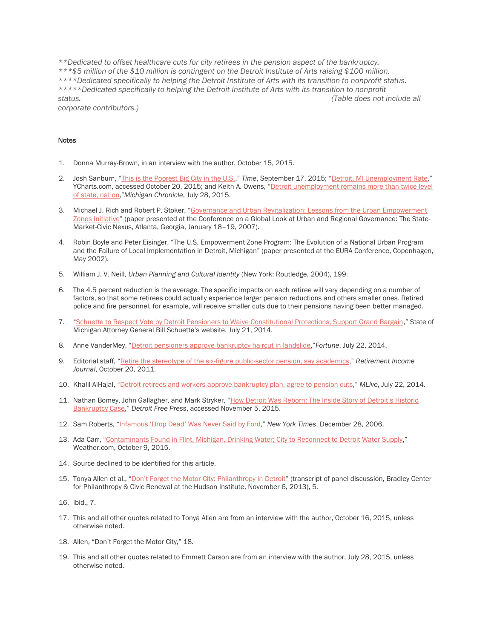*\*\*Dedicated to offset healthcare cuts for city retirees in the pension aspect of the bankruptcy. \*\*\*\$5 million of the \$10 million is contingent on the Detroit Institute of Arts raising \$100 million. \*\*\*\*Dedicated specifically to helping the Detroit Institute of Arts with its transition to nonprofit status. \*\*\*\*\*Dedicated specifically to helping the Detroit Institute of Arts with its transition to nonprofit status. (Table does not include all* 

*corporate contributors.)*

#### Notes

- 1. Donna Murray-Brown, in an interview with the author, October 15, 2015.
- 2. Josh Sanburn, "[This is the Poorest Big City in the U.S.](http://time.com/4039249/detroit-poverty-rate-census/)," *Time*, September 17, 2015; "[Detroit, MI Unemployment Rate](https://ycharts.com/indicators/detroit_mi_unemployment_rate)," YCharts.com, accessed October 20, 2015; and Keith A. Owens, "Detroit unemployment remains more than twice level [of state, nation](http://michronicleonline.com/2015/07/28/detroit-unemployment-remains-more-than-twice-level-of-state-nation/),"*Michigan Chronicle*, July 28, 2015.
- 3. Michael J. Rich and Robert P. Stoker, "[Governance and Urban Revitalization: Lessons from the Urban Empowerment](http://halleinstitute.emory.edu/pdfs/Governance%20and%20Urban%20Revitalization%20-%20Rich%20and%20Stoker.pdf)  [Zones Initiative](http://halleinstitute.emory.edu/pdfs/Governance%20and%20Urban%20Revitalization%20-%20Rich%20and%20Stoker.pdf)" (paper presented at the Conference on a Global Look at Urban and Regional Governance: The State-Market-Civic Nexus, Atlanta, Georgia, January 18–19, 2007).
- 4. Robin Boyle and Peter Eisinger, "The U.S. Empowerment Zone Program: The Evolution of a National Urban Program and the Failure of Local Implementation in Detroit, Michigan" (paper presented at the EURA Conference, Copenhagen, May 2002).
- 5. William J. V. Neill, *Urban Planning and Cultural Identity* (New York: Routledge, 2004), 199.
- 6. The 4.5 percent reduction is the average. The specific impacts on each retiree will vary depending on a number of factors, so that some retirees could actually experience larger pension reductions and others smaller ones. Retired police and fire personnel, for example, will receive smaller cuts due to their pensions having been better managed.
- 7. "[Schuette to Respect Vote by Detroit Pensioners to Waive Constitutional Protections, Support Grand Bargain](http://www.michigan.gov/ag/0,4534,7-164-46849-333567--,00.html)," State of Michigan Attorney General Bill Schuette's website, July 21, 2014.
- 8. Anne VanderMey, "[Detroit pensioners approve bankruptcy haircut in landslide](http://fortune.com/2014/07/22/detroit-pension-bankruptcy/),"*Fortune*, July 22, 2014.
- 9. Editorial staff, "[Retire the stereotype of the six-figure public-sector pension, say academics](http://retirementincomejournal.com/issue/octobe-2o-2011/article/retire-the-stereotype-of-the-six-figure-public-sector-pension-say-academics)," *Retirement Income Journal*, October 20, 2011.
- 10. Khalil AlHajal, "[Detroit retirees and workers approve bankruptcy plan, agree to pension cuts](http://www.mlive.com/news/detroit/index.ssf/2014/07/detroit_retirees_and_workers_a.html)," *MLive*, July 22, 2014.
- 11. Nathan Bomey, John Gallagher, and Mark Stryker, ["How Detroit Was Reborn: The Inside Story of Detroit's Historic](http://www.freep.com/story/news/local/detroit-bankruptcy/2014/11/09/detroit-bankruptcy-rosen-orr-snyder/18724267/)  [Bankruptcy Case](http://www.freep.com/story/news/local/detroit-bankruptcy/2014/11/09/detroit-bankruptcy-rosen-orr-snyder/18724267/)," *Detroit Free Press*, accessed November 5, 2015.
- 12. Sam Roberts, ["Infamous 'Drop Dead' Was Never Said by Ford,](http://www.nytimes.com/2006/12/28/nyregion/28veto.html)" *New York Times*, December 28, 2006.
- 13. Ada Carr, "[Contaminants Found in Flint, Michigan, Drinking Water; City to Reconnect to Detroit Water Supply](http://www.weather.com/news/news/flint-detroit-michigan-genesee-county-lead-water-contamination)," Weather.com, October 9, 2015.
- 14. Source declined to be identified for this article.
- 15. Tonya Allen et al., ["Don't Forget the Motor City: Philanthropy in Detroit"](http://ww.ctbookstore.org/index.cfm?fuseaction=publication_details&id=9807&pubType=HI_Transcripts) (transcript of panel discussion, Bradley Center for Philanthropy & Civic Renewal at the Hudson Institute, November 6, 2013), 5.
- 16. Ibid., 7.
- 17. This and all other quotes related to Tonya Allen are from an interview with the author, October 16, 2015, unless otherwise noted.
- 18. Allen, "Don't Forget the Motor City," 18.
- 19. This and all other quotes related to Emmett Carson are from an interview with the author, July 28, 2015, unless otherwise noted.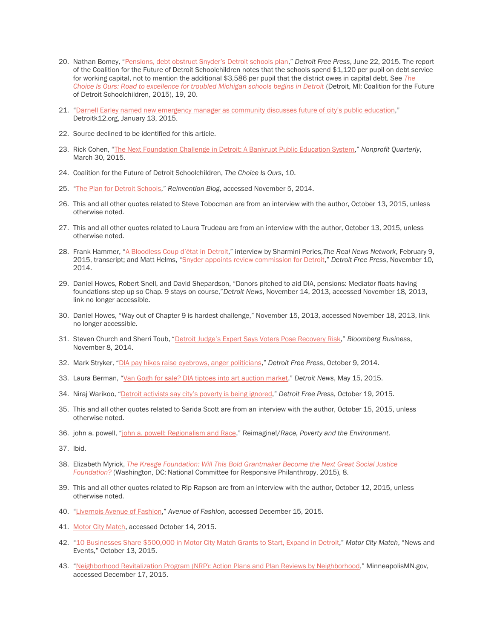- 20. Nathan Bomey, "Pensions, deb[t obstruct Snyder's Detroit schools plan,"](http://www.freep.com/story/news/local/michigan/detroit/2015/06/22/detroit-public-schools-dps-rick-snyder-restructuring-analysis/27388867/) *Detroit Free Press*, June 22, 2015. The report of the Coalition for the Future of Detroit Schoolchildren notes that the schools spend \$1,120 per pupil on debt service for working capital, not to mention the additional \$3,586 per pupil that the district owes in capital debt. See *[The](http://choiceisoursdetroit.tumblr.com/report)  [Choice Is Ours: Road to excellence for troubled Michigan schools begins in Detroit](http://choiceisoursdetroit.tumblr.com/report)* (Detroit, MI: Coalition for the Future of Detroit Schoolchildren, 2015), 19, 20.
- 21. ["Darnell Earley named new emergency manager as community discusses future of city's public](http://detroitk12.org/content/2015/01/13/gov-rick-snyder-detroit-public-schools-financial-emergency-continues/) education," Detroitk12.org, January 13, 2015.
- 22. Source declined to be identified for this article.
- 23. Rick Cohen, "[The Next Foundation Challenge in Detroit: A Bankrupt Public Education System](https://nonprofitquarterly.org/2015/03/30/the-next-foundation-challenge-in-detroit-a-bankrupt-public-education-system/)," *Nonprofit Quarterly*, March 30, 2015.
- 24. Coalition for the Future of Detroit Schoolchildren, *The Choice Is Ours*, 10.
- 25. "[The Plan for Detroit Schools](http://www.michigan.gov/snyder/0,4668,7-277-57577_60279-353475--,00.html)," *Reinvention Blog*, accessed November 5, 2014.
- 26. This and all other quotes related to Steve Tobocman are from an interview with the author, October 13, 2015, unless otherwise noted.
- 27. This and all other quotes related to Laura Trudeau are from an interview with the author, October 13, 2015, unless otherwise noted.
- 28. Frank Hammer, ["A Bloodless Coup d'état in D](http://therealnews.com/t2/index.php?option=com_content&task=view&id=31&Itemid=74&jumival=13128)etroit," interview by Sharmini Peries,*The Real News Network*, February 9, 2015, transcript; and Matt Helms, "[Snyder appoints review commission for Detroit](http://www.freep.com/story/news/local/detroit-bankruptcy/2014/11/10/detroit-financial-review-commission-appointees/18822451/)," *Detroit Free Press*, November 10, 2014.
- 29. Daniel Howes, Robert Snell, and David Shepardson, "Donors pitched to aid DIA, pensions: Mediator floats having foundations step up so Chap. 9 stays on course,"*Detroit News*, November 14, 2013, accessed November 18, 2013, link no longer accessible.
- 30. Daniel Howes, "Way out of Chapter 9 is hardest challenge," November 15, 2013, accessed November 18, 2013, link no longer accessible.
- 31. Steven Church and Sherri Toub, ["Detroit Judge's Expert Says Voters Pose Recovery Risk,](http://www.bloomberg.com/news/articles/2014-11-08/detroit-judge-s-expert-says-voters-pose-recovery-risk)" *Bloomberg Business*, November 8, 2014.
- 32. Mark Stryker, "[DIA pay hikes raise eyebrows, anger politicians](http://www.freep.com/story/entertainment/arts/2014/10/09/dia-salaries-execuitves-raises/17003375/)," *Detroit Free Press*, October 9, 2014.
- 33. Laura Berman, "[Van Gogh for sale? DIA tiptoes into art auction market](http://www.detroitnews.com/story/news/local/detroit-city/2015/05/13/van-gogh-sale-dia-tiptoes-art-auction-market/27280699/)," *Detroit News*, May 15, 2015.
- 34. Niraj Warikoo, ["Detroit activists say city's poverty is being ignored,"](http://www.freep.com/story/news/local/michigan/detroit/2015/10/18/detroit-activists-say-citys-poverty-being-ignored/74056880/) *Detroit Free Press*, October 19, 2015.
- 35. This and all other quotes related to Sarida Scott are from an interview with the author, October 15, 2015, unless otherwise noted.
- 36. john a. powell, "[john a. powell: Regionalism and Race](http://reimaginerpe.org/20years/powell)," Reimagine!/*Race, Poverty and the Environment*.
- 37. Ibid.
- 38. Elizabeth Myrick, *[The Kresge Foundation: Will This Bold Grantmaker Become the Next Great Social Justice](http://philamplify.org/wp-content/uploads/2015/10/Philamplify_KresgeFoundation_execsummary.pdf)  [Foundation?](http://philamplify.org/wp-content/uploads/2015/10/Philamplify_KresgeFoundation_execsummary.pdf)* (Washington, DC: National Committee for Responsive Philanthropy, 2015), 8.
- 39. This and all other quotes related to Rip Rapson are from an interview with the author, October 12, 2015, unless otherwise noted.
- 40. "[Livernois Avenue of Fashion](http://www.avenueoffashion.com/)," *Avenue of Fashion*, accessed December 15, 2015.
- 41. [Motor City Match,](http://www.motorcitymatch.com/) accessed October 14, 2015.
- 42. "[10 Businesses Share \\$500,000 in Motor City Match Grants to Start, Expand in Detroit](http://www.motorcitymatch.com/10-businesses-share/)," *Motor City Match*, "News and Events," October 13, 2015.
- 43. "[Neighborhood Revitalization Program \(NRP\): Action Plans and Plan Reviews by Neighborhood](http://www.minneapolismn.gov/ncr/programs/nrp/)," MinneapolisMN.gov, accessed December 17, 2015.